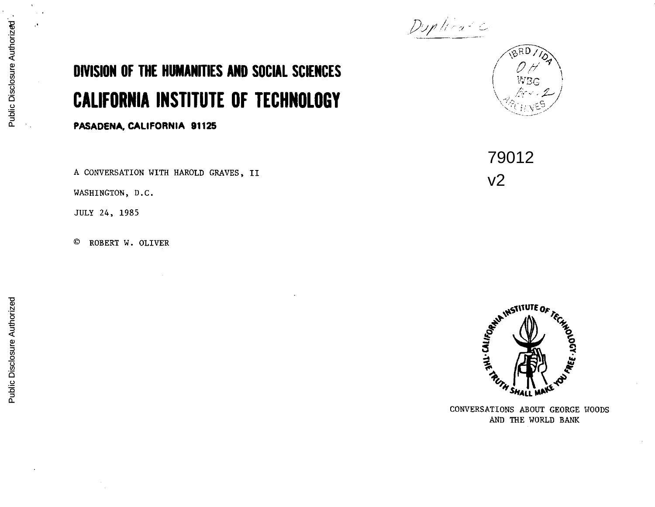## *Duplication*

## **DIVISION OF THE HUMANITIES AND SOCIAL SCIENCES CALIFORNIA INSTITUTE OF TECHNOLOGY**

**PASADENA, CALIFORNIA 91125** 

A CONVERSATION WITH HAROLD GRAVES, II

WASHINGTON, D.C.

JULY 24, 1985

© ROBERT W. OLIVER

 $\left(\begin{array}{c} W_{\rm BG} \end{array}\right)$  $\setminus\_,\mathscr{M}\times\mathscr{L}$  ,  $\mathbb{C}_{\rm trN}$ es

 $\sqrt{\frac{\beta R D}{M}}$ 

79012 v2

I



CONVERSATIONS ABOUT GEORGE HOODS AND THE WORLD BANK

,•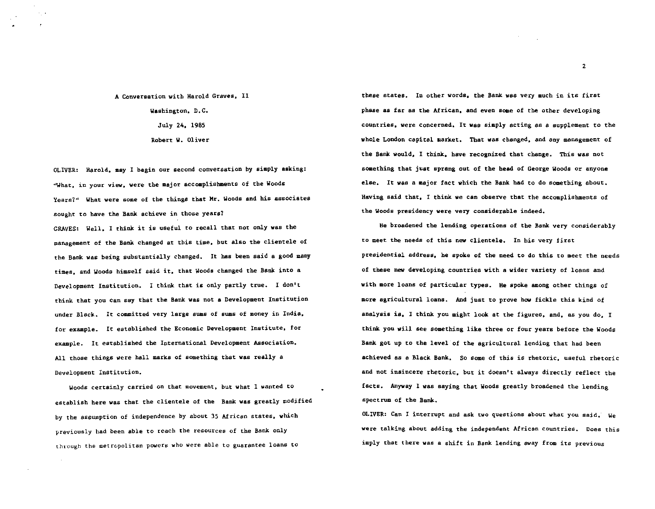A Conversation with Harold Graves, II Washington, D.C. July 24, 1985 Robert W. Oliver

OLIVER: Harold, may I begin our second conversation by simply asking: ''What, in your view, were the major accomplishments of the Woods Years?" What were some of the things that Hr. Woods and his associates sought to have the Bank achieve in those years?

GRAVES: Well, I think it is useful to recall that not only was the management of the Bank changed at this time, but also the clientele of the Bank was being substantially changed. It has been said a good many times, and Woods himself said it, that Woods changed the Bank into a Development Institution. I think that is only partly true. I don't think that you can say that the Bank was not a Development Institution under Black. It committed very large sums of sums of money in India, for example. It established the Economic Development Institute, for example. It established the International Development Association. All those things were hall marks of something that was really a Development Institution.

Woods certainly carried on that movement, but what I wanted to establish here was that the clientele of the Bank was greatly modified by the assumption of independence by about 35 African states, which previously bad been able to reach the resources of the Bank only through the metropolitan powers who were able to guarantee loans to

these states. In other words, the Bank was very much in its first phase as far as the African, and even some of the other developing countries, were concerned. It was simply acting as a supplement to the whole London capital market. That was changed, and any management of the Bank would, I think, have recognized that change. This was not something that just sprang out of the bead of George Woods or anyone else. It was a major fact which the Bank bad to do something about. Having said that, I think we can observe that the accomplishments of the Woods presidency were very considerable indeed.

He broadened the lending operations of the Bank very considerably to meet the needs of this new clientele. In his very first presidential address, he spoke of the need to do this to meet the needs of these new developing countries with a wider variety of loans and with more loans of particular types. He spoke among other things of more agricultural loans. And just to prove how fickle this kind of analysis is, I think you might look at the figures, and, as you do, I think you will see something like three or four years before the Woods Bank got up to the level of the agricultural lending that had been achieved as a Black Bank. So some of this is rhetoric, useful rhetoric and not insincere rhetoric, but it doesn't always directly reflect the facts. Anyway 1 was saying that Woods greatly broadened the lending spectrum of the Bank.

OLIVER: Can I interrupt and ask two questions about what you said; we were talking about adding the independent African countries. Does this imply that there was a shift in Bank lending away from its previous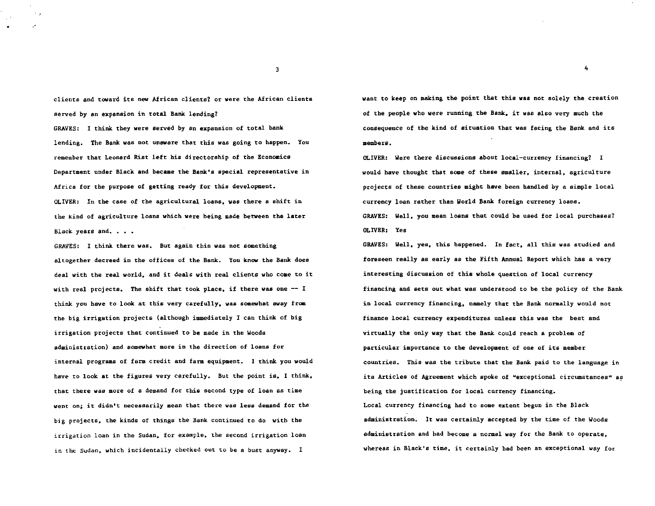clients and toward its new African clients? or were the African clients served by an expansion in total Bank lending? GRAVES: I think they were served by an expansion of total bank lending. The Bank was not unaware that this was going to happen. You remember that Leonard Rist left his directorship of the Economics Department under Black and became the Bank's special representative in Africa for the purpose of getting ready for this development. OLIVER: In the case of the agricultural loans, was there a shift in the kind of agriculture loans which were being made between the later Black years and.

GRAVES: I think there was. But again this was not something altogether decreed in the offices of the Bank. You know the Bank does deal with the real world, and it deals with real clients who come to it with real projects. The shift that took place, if there was one  $-1$ think you have to look at this very carefully. was somewhat away from the big irrigation projects (although immediately I can think of big irrigation projects that continued to be made in the Woods administration) and somewhat more in the direction of loans for internal programs of farm credit and farm equipment. I think you would have to look at the figures very carefully. But the point is. I think, that there was more of a demand for this second type of loan as time went on; it didn't necessarily mean that there was less demand for the big projects. the kinds of things the Bank continued to do with the irrigation loan in the Sudan. for example. the second irrigation loan in the Sudan. which incidentally checked out to be a bust anyway. I

want to keep on making the point that this was not solely the creation of the people who were running the Bank. it was also very much the consequence of the kind of situation that was facing the Bank and its members.

4

OLIVER: Were there discussions about local-currency financing? I would have thought that some of these smaller. internal. agriculture projects of these countries might have been handled by a simple local currency loan rather than World Bank foreign currency loans.

GRAVES: Well. you mean loans that could be used for local purchases? OLIVER: Yes

GRAVES: Well. yes. this happened. In fact. all this was studied and foreseen really as early as the Fifth Annual Report which has a very interesting discussion of this whole question of local currency financing and sets out what was understood to be the policy of the Bank in local currency financing. namely that the Bank normally would not finance local currency expenditures unless this was the best and virtually the only way that the Bank could reach a problem of particular importance to the development of one of its member countries. This was the tribute that the Bank paid to the language in its Articles of Agreement which spoke of "exceptional circumstances" as being the justification for local currency financing. Local currency financing had to some extent begun in the Black administration. It was certainly accepted by the time of the Woods administration and bad become a normal way for the Bank to operate. whereas in Black's time, it certainly had been an exceptional way for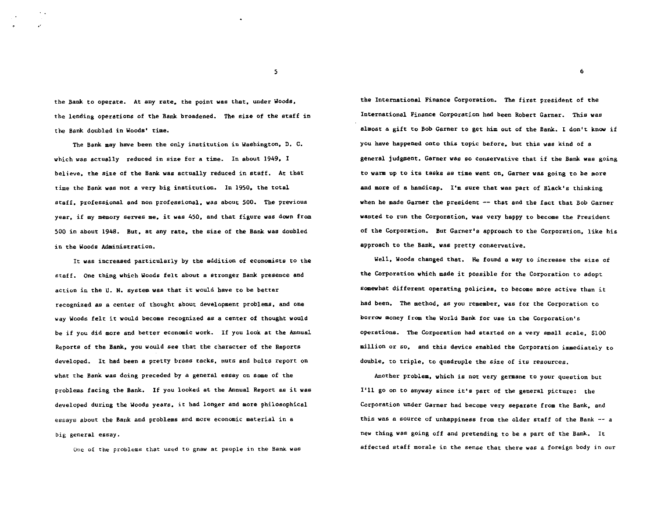the Bank to operate. At any rate, the point was that, under Woods, the lending operations of the Bank broadened. The size of the staff in the Bank doubled in Woods' time.

The Bank may have been the only institution in Washington. D. C. which was actually reduced in size for a time. In about 1949. I believe. the size of the Bank was actually reduced in staff. At that time the Bank was not a very big institution. In 1950. the total staff. professional and non professional. was about 500. The previous year. if my memory serves me. it was 450. and that figure was down from 500 in about 1948. But. at any rate. the size of the Bank was doubled in the Woods Administration,

It was increased particularly by the addition of economists to the staff. One thing which Woods felt about a stronger Bank presence and action in the U. N. system was that it would have to be better recognized as a center of thought about development problems. and one way Woods felt it would become recognized as a center of thought would be if you did more and better economic work. If you look at the Annual Reports of the Bank. you would see that the character of the Reports developed. It had been a pretty brass tacks. nuts and bolts report on what the Bank was doing preceded by a general essay on some of the problems facing the Bank. If you looked at the Annual Report as it was developed during the Woods years. it had longer and more philosophical essays about the Bank and problems and more economic material in a big general essay.

One of the problems that used to gnaw at people in the Bank was

the International Finance Corporation. The first president of the International Finance Corporation had been Robert Garner. This was almost a gift to Bob Garner to get him out of the Bank. I don't know if you have happened onto this topic before. but this was kind of a general judgment. Garner was so conservative that if the Bank was going to warm up to its tasks as time went on. Garner was going to be more and more of a handicap. I'm sure that was part of Black's thinking when he made Garner the president  $-$  that and the fact that Bob Garner wanted to run the Corporation. was very happy to become the President of the Corporation. But Garner's approach to the Corporation. like his approach to the Bank. was pretty conservative.

Well. Woods changed that. He found a way to increase the size of the Corporation which made it possible for the Corporation to adopt somewhat different operating policies. to become more active than it had been. The method. as you remember. was for the Corporation to borrow money from the World Bank for use in the Corporation's operations. The Corporation had started on a very small scale. \$100 million or so. and this device enabled the Corporation immediately to double. to triple. to quadruple the size of its resources.

Another problem. which is not very germane to your question but I'll go on to anyway since it's part of the general picture: the Corporation under Garner had become very separate from the Bank. and this was a source of unhappiness from the older staff of the Bank -- *<sup>a</sup>* new thing was going off and pretending to be a part of the Bank. It affected staff morale in the sense that there was a foreign body in our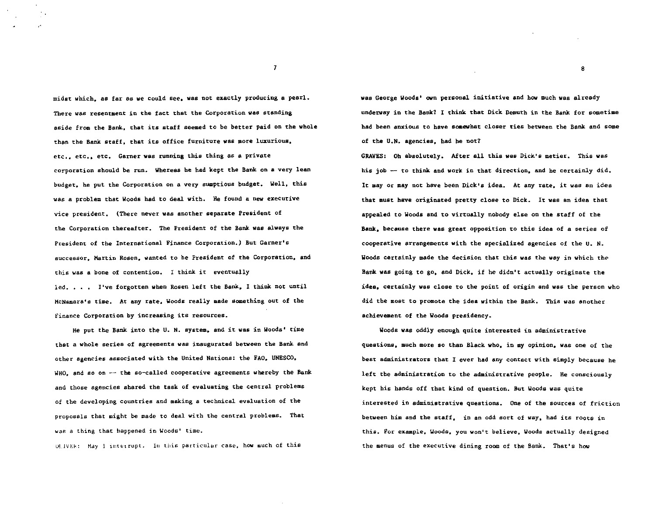midst which. as far as we could see. was not exactly producing a pearl. There was resentment in the fact that the Corporation was standing aside from the Bank. that its staff seemed to be better paid on the whole than the Bank staff. that its office furniture was more luxurious, etc.. etc.. etc. Garner was running this thing as a private corporation should be run. Whereas be bad kept the Bank on a very lean budget. he put the Corporation on a very sumptious budget. Well. this was a problem that Woods had to deal with. He found a new executive vice president. (There never was another separate President of the Corporation thereafter. The President of the Bank was always the President of the International Finance Corporation.) But Garner's successor. Hartin Rosen. wanted to be President of the Corporation. and this was a bone of contention. I think it eventually led. • • I've forgotten when Rosen left the Bank. I think not until McNamara's time. At any rate. Woods really made something out of the Finance Corporation by increasing its resources.

He put the Bank into the U. N. system. and it was in Woods' time that a whole series of agreements was inaugurated between the Bank and other agencies associated with the United Nations: the FAO. UNESCO. WHO. and so on  $-$  the so-called cooperative agreements whereby the Bank and those agencies shared the task of evaluating the central problems of the developing countries and making a technical evaluation of the proposals that might be made to deal with the central problems. That was a thing that happened in Woods' time.

ULIVER: May 1 interrupt. In this particular case, how much of this

was George Woods' own personal initiative and how much was already underway in the Bank? I think that Dick Demuth in the Bank for sometime bad been anxious to have somewhat closer ties between the Bank and some of the U.N. agencies. bad he not?

GRAVES: Oh absolutely. After all this was Dick's metier. This was his job -- to think and work in that direction, and he certainly did. It may or may not have been Dick•s idea. At any rate. it was an idea that must have originated pretty close to Dick. It was an idea that appealed to Woods and to virtually nobody else on the staff of the Bank. because there was great opposition to this idea of a series of cooperative arrangements with the specialized agencies of the U. N. Woods certainly made the decision that this was the way in which the Bank was going to go. and Dick. if he didn't actually originate the idea. certainly was close to the point of origin and was the person who did the most to promote the idea within the Bank. This was another achievement of the Woods presidency.

Woods was oddly enough quite interested in administrative questions. much more so than Black who. in my opinion. was one of the best administrators that I ever had any contact with simply because he left the administration to the administrative people. He consciously kept his hands off that kind of question. But Woods was quite interested in administrative questions. One of the sources of friction between him and the staff. in an odd sort of way. had its roots in this. For example. Woods. you won't believe. Woods actually designed the menus of the executive dining room of the Bank. That's how

7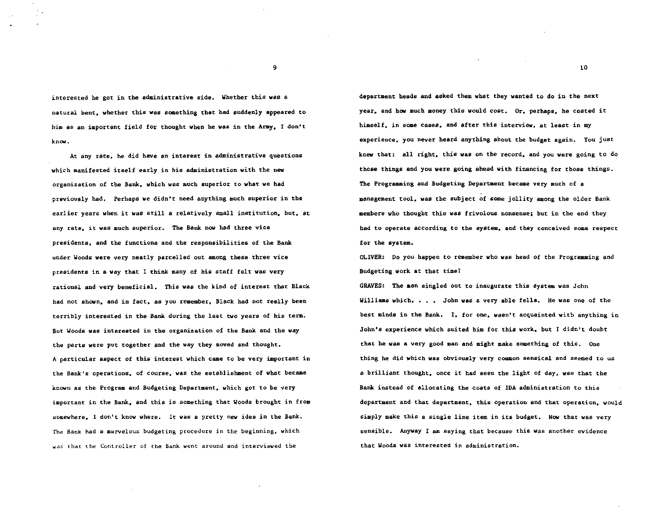interested he got in the administrative side. Whether this was a natural bent. whether this was something that had suddenly appeared to him as an important field for thought when he was in the Army. I don't know.

At any rate. he did have an interest in administrative questions which manifested itself early in his administration with the new organization of the Bank. which was much superior to what we had previously had. Perhaps we didn't need anything much superior in the earlier years when it was still a relatively small institution. but. at any rate. it was much superior. The Bank now had three vice presidents. and the functions and the responsibilities of the Bank under Woods were very neatly parcelled out among these three vice presidents in a way that I think many of his staff felt was very rational and very beneficial. This was the kind of interest that Black had not shown. and in fact. as you remember. Black had not really been terribly interested in the Bank during the last two years of his term. But Woods was interested in the organization of the Bank and the way the parts were put together and the way they moved and thought. A particular aspect of this interest which came to be very important in the Bank's operations. of course. was the establishment of what became known as the Program and Budgeting Department. which got to be very important in the Bank. and this is something that Woods brought in from 80mewhere. I don't know where. It was a pretty new idea in the Bank. The Bank had a marvelous budgeting procedure in the beginning, which was that the Controller of the Bank went around and interviewed the

department heads and asked them what they wanted to do in the next year, and how much money this would cost.  $0r$ , perhaps, he costed it himself, in some cases, and after this interview, at least in my experience, you never heard anything about the budget again. You just knew that: all right, this was on the record, and you were going to do those things and you were going ahead with financing for those things. The Programming and Budgeting Department became very much of a management tool, was the subject of some jollity among the older Bank members who thought this was frivolous nonsense; but in the end they had to operate according to the system. and they conceived some respect for the system.

OLIVBR: Do you happen to remember who was head of the Programming and Budgeting work at that time1

GRAVES: The man singled out to inaugurate this system was John Williams which. . . . John was a very able fells. He was one of the best minds in the Bank. I. for one. wasn't acquainted with anything in John's experience which suited him for this work. but I didn't doubt that he was a very good man and might make something of this. One thing he did which was obviously very common sensical and seemed to us a brilliant thought. once it bad seen the light of day. was that the Bank instead of allocating the costs of IDA administration to this department and that department. this operation end that operation. would simply make this a single line item in its budget. Now that was very sensible. Anyway I am saying that because this was another evidence that Woods was interested in administration.

9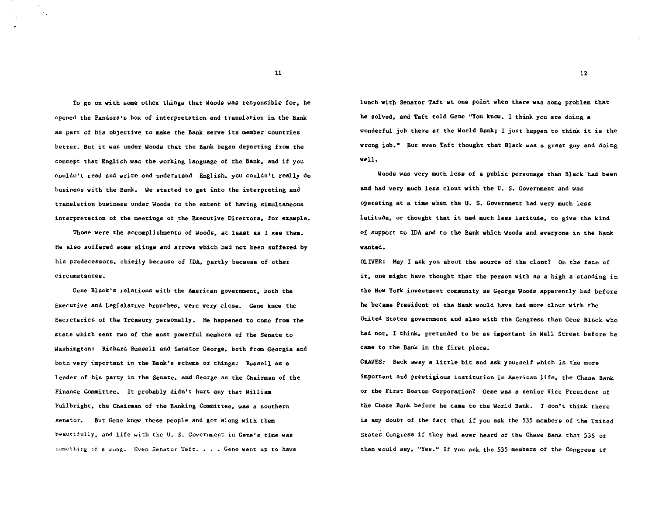To go on with some other thinss that Woods was responsible for, he opened the Pandora's box of interpretation and translation in the Bank as part of his objective to make the Bank serve its member countries better. But it was under Woods that the Bank began departing from the concept that English was the working language of the Bank, and if you couldn't read and write and understand English, you couldn't really do business with the Bank. We started to get into the interpreting and translation business under Woods to the extent of having simultaneous interpretation of the meetings of the Executive Directors, for example.

'l'bose were the accomplishments of Woods, at least as I see them. He also suffered some slings and arrows which had not been suffered by his predecessors. chiefly because of IDA. partly because of other circumstances.

Gene Black's relations with the American government, both the Executive and Legislative branches. were very close. Gene knew the Secretaries of the Treasury personally. He happened to come from the state which sent two of the most powerful members of the Senate to Washington: Richard Russell and Senator George. both from Georgia end both very important in the Bank's scheme of things: Russell as a leader of his party in the Senate. and George as the Chairman of the Finance Committee. It probably didn't hurt any that William Fullbright. the Chairman of the Banking Committee. was a southern senator. But Gene knew these people and got along with them beautifully. and life with the U. S. Government in Gene's time was something of a song. Even Senator Taft. . . . Gene went up to have

lunch with Senator Taft at one point when there was some problem that he solved. and Taft told Gene "You know. I think you are doing a wonderful job there at the World Bank; I just happen to think it is the wrong job." But even Taft thought that Black was a great guy and doing well.

Woods was very much less of a public personage than Black had been and had very much less clout with the U. S. Government and was operating at a tiae when the U. S. Government had very much less latitude. or thought that it bad much less latitude. to give the kind of support to IDA and to the Bank which Woods and everyone in the Bank wanted.

OLIVER: May I ask you about the source of the clout? On the face of it. one might have thought that the person with as a high a standing in the New York investment community as George Woods apparently had before he became President of the Bank would have bad more clout with the United States government and also with the Congress than Gene Black who had not. I think. pretended to be as important in Wall Street before he came to the Bank in the first place.

GRAVES: Back away a little bit and ask yourself which is the more important and prestigious institution in American life. the Chase Bank or the First Boston Corporation? Gene was a senior Vice President of the Chase Bank before he came to the World Bank. I don't think there is any doubt of the fact that if you ask the 535 members of the United States Congress if they had ever heard of the Chase Bank that 535 of them would say. "Yes." If you ask the 535 members of the Congress if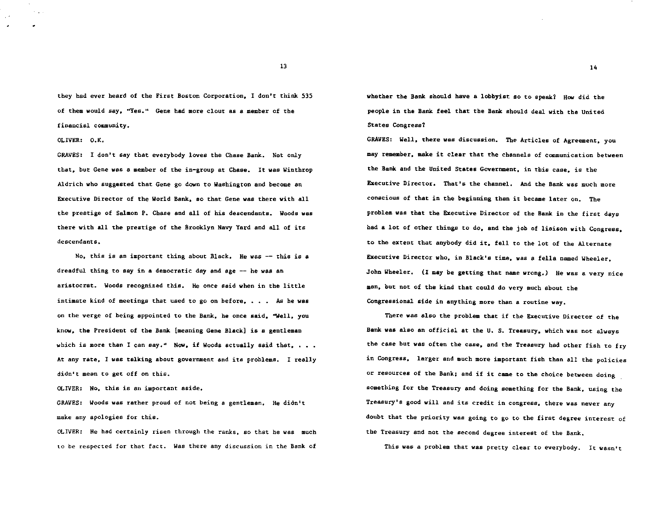they had ever heard of the First Boston Corporation, I don't think 535 of them would say, "Yes." Gene had more clout as a member of the financial community.

OLIVER: O.K.

GRAVES: I don't say that everybody loves the Chase Bank. Not only that. but Gene was a member of the in-group at Chase. It was Winthrop Aldrich who suggested that Gene go down to Washington and become an Executive Director of the World Bank. so that Gene was there with ell the prestige of Salmon P. Chase and all of his descendants. Woods was there with all the prestige of the Brooklyn Navy Yard and all of its descendants.

No, this is an important thing about Black. He was -- this is a dreadful thing to say in a democratic day and age  $-$  he was an aristocrat. Woods recognized this. He once said when in the little intimate kind of meetings that used to go on before,  $\ldots$ . As he was on the verge of being appointed to the Bank. he once said. "Well. you know. the President of the Bank {meaning Gene Black] is a gentleman which is more than I can say." Now, if Woods actually said that,  $\ldots$ . At any rate. I was talking about government and its problems. I really didn't mean to get off on this.

OLIVER: No. this is an important aside.

GRAVES: Woods was rather proud of not being a gentleman. He didn't make any apologies for this.

OLIVER: He had certainly risen through the ranks. so that he was much to be respected for that fact. Was there any discussion in the Bank of whether the Bank should have a lobbyist so to speak? How did the people in the Bank feel that the Bank should deal with the United States Congress?

GRAVES: Well, there was discussion. The Articles of Agreement, you may remember, make it clear that the channels of communication between the Bank and the United States Government, in this case, is the Executive Director. That's the channel. And the Bank was much more conscious of that in the beginning than it became later on. The problem was that the Executive Director of the Bank in the first days had a lot of other things to do. and the job of liaison with Congress. to the extent that anybody did it. fell to the lot of the Alternate Executive Director who. in Black's time. was a fells named Wheeler. John Wheeler. (I may be getting that name wrong.) He was a very nice man. but not of the kind that could do very much about the Congressional side in anything more than a routine way.

There was also the problem that if the Executive Director of the Bank was also an official at the U. S. Treasury. which was not always the case but was often the case, and the Treasury had other fish to fry in Congress. larger and much more important fish than all the policies or resources of the Bank; and if it came to the choice between doing something for the Treasury and doing something for the Bank. using the Treasury's good will and its credit in congress. there was never any doubt that the priority was going to go to the first degree interest of the Treasury and not the second degree interest of the Bank.

This was a problem that was pretty clear to everybody. It wasn't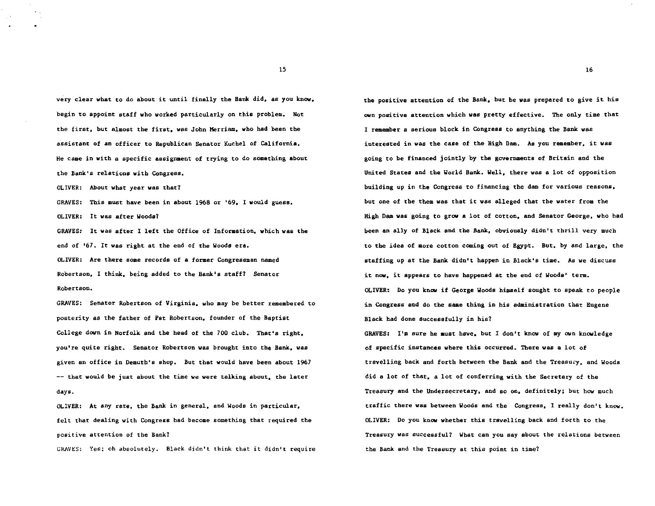very clear what to do about it until finally the Bank did. as you know. begin to appoint staff who worked particularly on this problem. Not the first. but almost the first. was John Merriam. who had been the assistant of an officer to Republican Senator Kuchel of California. He came in with a specific assignment of trying to do something about the Bank's relations with Congress.

OLIVER: About what year was that?

GRAVES: This must have been in about 1968 or '69. I would guess. OLIVER: It was after Woods?

GRAVES: It was after I left the Office of Information. which was the end of '67. It was right at the end of the Woods era. OLIVER: Are there some records of a former Congressman named Robertson. I think. being added to the Bank's staff? Senator Robertson.

GRAVES: Senator Robertson of Virginia, who may be better remembered to posterity as the father of Pat Robertson, founder of the Baptist College down in Norfolk and the head of the 700 club. That's right, you're quite right. Senator Robertson was brought into the Bank, was given an office in Demuth's shop. But that would have been about 1967  $--$  that would be just about the time we were talking about, the later days.

OLIVER: At any rete, the Bank in general, end Woods in particular, felt that dealing with Congress bad become something that required the positive attention of the Bank?

GRAVES: Yes: oh absolutely. Black didn't think that it didn't require

the positive attention of the Bank, but be was prepared to give it his own positive attention which was pretty effective. The only time that I remember a serious block in Congress to anything the Bank was interested in was the case of the High Dam. As you remember, it was going to be financed jointly by the governments of Britain and the United States and the World Bank. Well, there was a lot of opposition building up in the Congress to financing the dam for various reasons, but one of the them was that it was alleged that the water from the High Dam was going to grow a lot of cotton, and Senator George, who had been an ally of Black and the Bank, obviously didn't thrill very much to the idea of more cotton coming out of Egypt. But, by and large, the staffing up at the Bank didn't happen in Black's time. As we discuss it now, it appears to have happened at the end of Woods' term. OLIVER: Do you know if George Woods himself sought to speak to people in Congress and do the same thing in his administration that Eugene Black had done successfully in his?

GRAVES: I'm sure he aust have, but I don't know of my own knowledge of specific instances where this occurred. There was a lot of travelling back and forth between the Bank and the Treasury, and Woods did a lot of that, a lot of conferring with the Secretary of the Treasury and the Undersecretary, and so on, definitely; but how much traffic there was between Woods and the Congress, I really don't know. OLIVER: Do you know whether this travelling back and forth to the Treasury was successful? What can you say about the relations between the Bank and the Treasury at this point in time?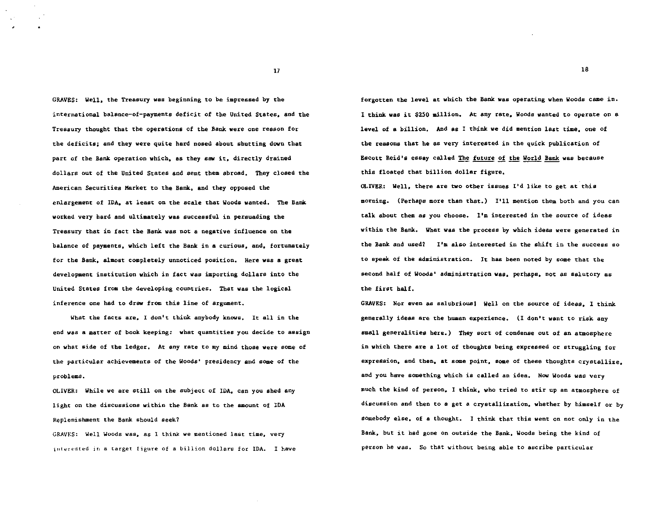GRAVES: Well. the Treasury was beginning to be impressed by the international balance-of-payments deficit of the United States. and the Treasury thought that the operations of the Bank were one reason for the deficits; and they were quite hard nosed about shutting down that part of the Bank operation which, as they saw it, directly drained dollars out of the United States and sent them abroad. They closed the American Securities Market to the Bank. and they opposed the enlargement of IDA. at least on the scale that Woods wanted. The Bank worked very bard and ultimately was successful in persuading the Treasury that in fact the Bank was not a negative influence on the balance of payments. which left the Bank in a curious. and. fortunately for the Bank, almost completely unnoticed position. Here was a great development institution which in fact was importing dollars into the United States from the developing countries. That was the logical inference one had to draw from this line of argument.

What the facts are, I don't think anybody knows. It all in the end was a matter of book keeping: what quantities you decide to assign on what side of the ledger. At any rate to my mind those were some of the particular achievements of the Woods' presidency and some of the problems.

OLIVER: While we are still on the subject of IDA, can you shed any light on the discussions within the Bank as to the amount of IDA Replenishment the Bank should seek?

GRAVES: Well Woods was, as I think we mentioned last time, very interested in a target figure of a billion dollars for IDA. I have forgotten the level at which the Bank was operating when Woods came in. I think was it \$250 million. At any rate, Woods wanted to operate on a level of a billion. And as I think we did mention last time. one of the reasons that he as very interested in the quick publication of Escott Reid's essay called The future of the World Bank was because this floated that billion dollar figure.

OLIVER: Well, there are two other issues I'd like to get at this morning. (Perhaps more than that.) I'll mention them both and you can talk about them as you choose. I'm interested in the source of ideas within the Bank. What was the process by which ideas were generated in the Bank and used? I'm also interested in the shift in the success so to speak of the administration. It has been noted by some that the second half of Woods' administration was. perhaps, not as salutary as the first half.

GRAVES: Nor even as salubrious! Well on the source of ideas. I think generally ideas are the human experience. (I don't want to risk any small generalities here.) They sort of condense out of an atmosphere in which there are a lot of thoughts being expressed or struggling for expression, and then, at some point, some of these thoughts crystallize, and you have something which is called an idea. Now Woods was very much the kind of person, I think, who tried to stir up an atmosphere of discussion and then to a get a crystallization. whether by himself or by somebody else, of a thought. I think that this went on not only in the Bank, but it had gone on outside the Bank, Woods being the kind of person he was. So that without being able to ascribe particular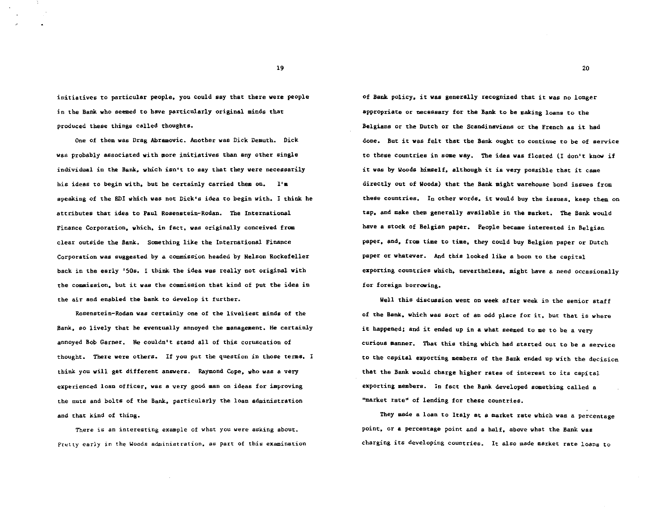initiatives to particular people. you could say that there were people in the Bank who seemed to have particularly original minds that produced these things called thoughts.

One of them was Drag Abremovic. Another was Dick Demuth. Dick was probably associated with more initiatives than any other single individual in the Bank. which isn•t to say that they were necessarily his ideas to begin with, but he certainly carried them on. I'm speaking of the ED! which was not Dick's idea to begin with. I think he attributes that idea to Paul Rosenstein-Roden. The International Finance Corporation, which, in fact, was originally conceived from clear outside the Bank. Something like the International Finance Corporation was suggested by a commission beaded by Nelson Rockefeller back in the early '50s. I think the idea was really not original with the commission. but it was the commission that kind of put the idea in the air and enabled the bank to develop it further.

Rosenstein-Roden was certainly one of the liveliest minds of the Bank, so lively that he eventually annoyed the management. He certainly annoyed Bob Garner. He couldn't stand all of this coruscation of thought. There were others. If you put the question in those terms. I think you will get different answers. Raymond Cope, who was a very experienced loan officer, was a very good man on ideas for improving the nuts and bolts of the Bank, particularly the loan administration and that kind of thing.

There is an interesting example of what you were asking about. Pretty early in the Woods administration, as part of this examination of Bank policy. it was generally recognized that it was no longer appropriate or necessary for the Bank to be making loans to the Belgians or the Dutch or the Scandinavians or the French as it had done. But it was felt that the Bank ought to continue to be of service to these countries in some way. The idea was floated (I don't know if it was by Woods himself. although it is very possible that it came directly out of Woods} that the Bank might warehouse bond issues from these countries. In other words. it would buy the issues, keep them on tap. and make them generally available in the market. The Bank would have a stock of Belgian paper. People became interested in Belgian paper. and, from time to time, they could buy Belgian paper or Dutch paper or whatever. And this looked like a boon to the capital exporting countries which, nevertheless, might have a need occasionally for foreign borrowing.

Well this discussion went on week after week in the senior staff of the Bank, which was sort of an odd place for it, but that is where it happened; and it ended up in a what seemed to me to be a very curious manner. That this thing which had started out to be a service to the capital exporting members of the Bank ended up with the decision that the Bank would charge higher rates of interest to its capital exporting members. In fact the Bank developed something called a "market rate" of lending for these countries.

They made a loan to Italy at a market rate which was a percentage point, or a percentage point and a half, above what the Bank was charging its developing countries. It also made market rate loans to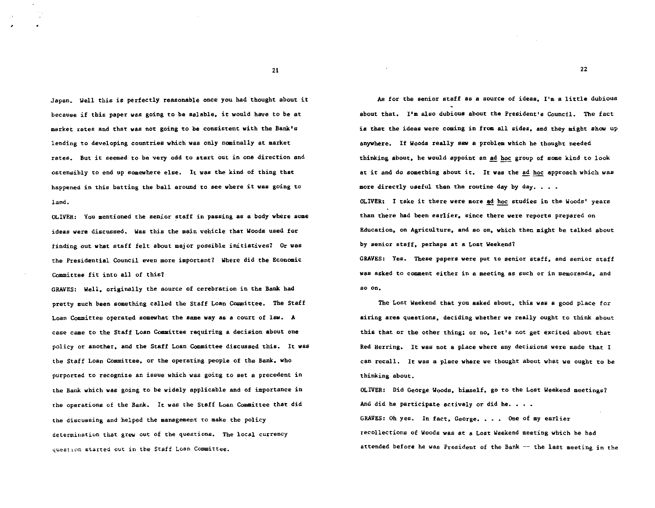Japan. Well this is perfectly reasonable once you bad thought about it because if this paper was going to be salable. it would have to be at market rates and that was not going to be consistent with the Bank's lending to developing countries which was only nominally at market rates. But it seemed to be very odd to start out in one direction and ostensibly to end up somewhere else. It was the kind of thing that happened in this batting the ball around to see where it was going to land.

OLIVER: You mentioned the senior staff in passing as a body where some ideas were discussed. Was this the main vehicle that Woods used for finding out what staff felt about major possible initiatives? Or was the Presidential Council even more important? Where did the Economic Committee fit into all of this1

GRAVES: Well. originally the source of cerebration in the Bank had pretty much been something called the Staff Loan Committee. The Staff Loan Committee operated somewhat the same way as a court of law. A case came to the Staff Loan Committee requiring a decision about one policy or another. and the Staff Loan Committee discussed this. It was the Staff Loan Committee. or the operating people of the Bank. who purported to recognize an issue which was going to set a precedent in the Bank which was going to be widely applicable and of importance in the operations of the Bank. It was the Staff Loan Committee that did the discussing and helped the management to make the policy determination that grew out of the questions. The local currency question started out in the Staff Loan Committee.

As for the senior staff as a source of ideas. I'm a little dubious about that. I'm also dubious about the President's Council. The fact is that the ideas were coming in from all sides. and they might show up anywhere. If Woods really saw a problem which he thought needed thinking about, he would appoint an ad hoc group of some kind to look at it and do something about it. It was the ad hoc approach which was more directly useful than the routine day by day.  $\ldots$ .

OLIVER: I take it there were more ad hoc studies in the Woods' years than there had been earlier. since there were reports prepared on Education. on Agriculture. and so on. which then might be talked about by senior staff, perhaps at a Lost Weekend?

GRAVES: Yes. These papers were put to senior staff. and senior staff was asked to comment either in a meeting as such or in memoranda. and so on.

The Lost Weekend that you asked about. this was a good place for airing area questions. deciding whether we really ought to think about this that or the other thing; or no, let's not get excited about that Red Herring. It was not a place where any decisions were made that I can recall. It was a place where we thought about what we ought to be thinking about.

OLIVER: Did George Woods. himself. go to the Lost Weekend meetings? And did he participate actively or did he.  $\ldots$ .

GRAVES: Oh yes. In fact, George. . . . One of my earlier recollections of Woods was at a Lost Weekend meeting which he had attended before he was President of the Bank -- the last meeting in the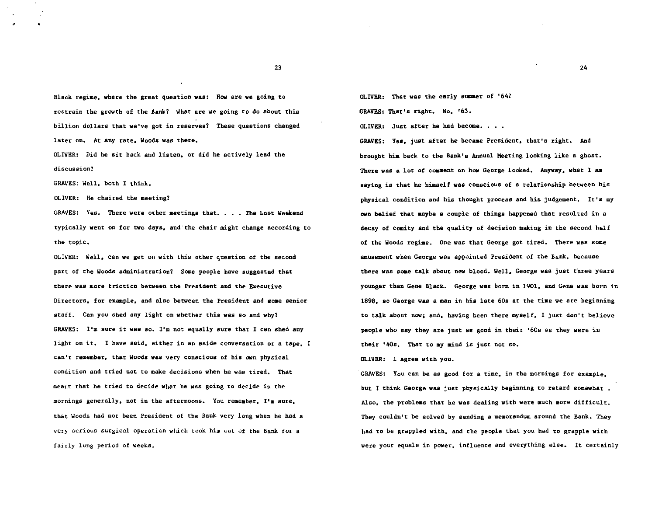Bleck regime. where the great question was: How are we going to restrain the growth of the Bank? What are we going to do about this billion dollars that we've got in reserves? These questions changed later on. At any rate, Woods was there.

OLIVER: Did he sit back and listen. or did he actively lead the discussion?

GRAVES: Well, both I think.

'

OLIVER: He chaired the meeting7

GRAVES: Yes. There were other meetings that. . . . The Lost Weekend typically went on for two days, and"the chair might change according to the topic.

OLIVER: Well, can we get on with this other question of the second part of the Woods administration? Some people have suggested that there was more friction between the President and the Executive Directors, for example, and also becween the President and some senior staff. Can you shed any light on whether this was so and why7 GRAVES: I'm sure it was so. I'm not equally sure that I can shed any light on it. I have said, either in an aside conversation or a tape, I can't remember, that Woods was very conscious of his own physical condition and tried not to make decisions when he was tired. That meant that he tried to decide what he was going to decide in the mornings generally, not in the afternoons. You remember, I'm sure, that Woods had not been President of the Bank very long when he had a very serious surgical operation which took him out of the Bank for a fairly long period of weeks.

OLIVER: That was the early summer of '64? GRAVES: That's right. No. '63.

OLIVER: Just after be had become.

GRAVES: Yes. just after he became President, that's right. And brought him back to the Bank's Annual Meeting looking like a ghost. There was a lot of coament on how George looked. Anyway, what 1 am saying is that he himself was conscious of a relationship between his physical condition and his thought process and his judgement. It's my own belief that maybe a couple of things happened that resulted in a decay of comity and the quality of decision making in the second half of the Woods regime. One was that George got tired. There was some amusement when George was appointed President of the Bank, because there was some talk about new blood. Well, George was just three years younger than Gene Black. George was born in 1901, and Gene was born in 1898, so George was a man in his late 60s at the time we sre beginning to talk about now; and, having been there myself, I just don't believe people who say they are just as good in their '60s as they were in their '40s. That to my mind is just not so.

OLIVER: I agree with you.

GRAVES: You can be as good for a time, in the mornings for example, but I think George was just physically beginning to retard somewhat . Also, the problems that be was dealing with were much more difficult. They couldn't be solved by sending a memorandum around the Bank. They bad to be grappled with, and the people that you had to grapple with were your equals in power, influence and everything else. It certainly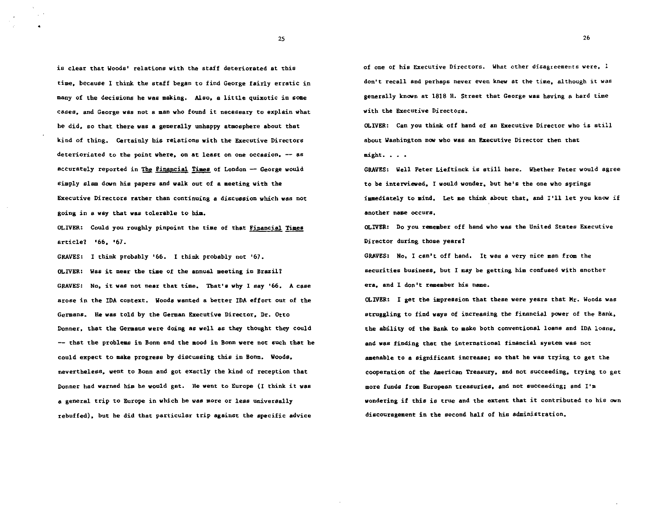is clear that Woods' relations with the staff deteriorated at this time. because 1 think the staff began to find George fairly erratic in many of the decisions he was making. Also. a little quixotic in some cases. and George was not a man who found it necessary to explain what he did. so that there was a generally unhappy atmosphere about that kind of thing. Certainly his relations with the Executive Directors deterioriated to the point where, on at least on one occasion, -- as accurately reported in The Financial Times of London  $-$  George would simply slam down his papers and walk out of a meeting with the Executive Directors rather than continuing a discussion which was not going in a way that was tolerable to hia.

OLIVER: Could you roughly pinpoint the time of that Financial Times article? '66. '67.

GRAVES: I think probably '66. I think probably not '67. OLIVER: was it near the time of the annual meeting in Brazil? GRAVES: No. it was not near that time. That's why I say '66. A case arose in the IDA context. Woods wanted a better IDA effort out of the Germans. He was told by the German Executive Director. Dr. Otto Donner. that the Germans were doing as well as they thought they could -- that the problems in Bonn and the mood in Bonn were not such that be could expect to make progress by discussing this in Bonn. Woods. nevertheless. went to Bonn and got exactly the kind of reception that Donner had warned him be would get. He went to Europe (1 think it was a general trip to Europe in which he was more or leas universally rebuffed). but be did that particular trip against the specific advice

of one of his Executive Directors. What other disagreements were. I don't recall and perhaps never even knew at the time. although it was generally known at 1818 H. Street that George was having a hard time with the Executive Directors.

OLIVER: Can you think off hand of an Executive Director who is still about Washington now who was an Executive Director then that  $might.$ ...

GRAVES: Well Peter Lieftinck is still here. Whether Peter would agree to be interviewed. I would wonder. but he's the one who springs immediately to mind. Let me think about that. and I'll let you know if another name occurs.

OLIVER: Do you remember off hand who was the United States Executive Director during those years1

GRAVES: No. I can't off hand. It was a very nice man from the securities business. but I may be getting him confused with another era. and I don't remember his name.

OLIVER: I get the impression that these were years that  $M<sub>r</sub>$ . Woods was struggling to find ways of increasing the financial power of the Bank. the ability of the Bank to make both conventional loans and IDA loans. and was finding that the international financial system was not amenable to a significant increase: so that he was trying to get the cooperation of the American Treasury. and not succeeding. trying to get more funds from European treasuries. and not succeeding; and I'm wondering if this is true and the extent that it contributed to his own discouragement in the second half of his administration.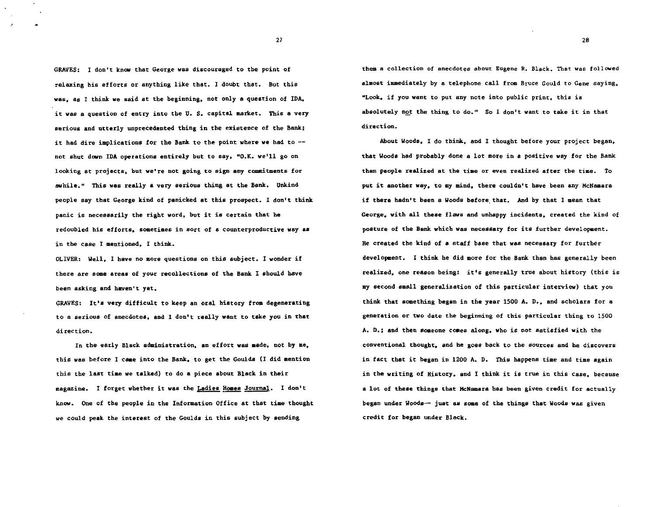GRAVES: I don't know that George was discouraged to the point of relaxing his efforts or anything like that. I doubt that. But this was, as I think we said at the beginning, not only a question of IDA, it was a question of entry into the U. S. capital market. This a very serious and utterly unprecedented thing in the existence of the Bank: it had dire implications for the Bank to the point where we had to  $-$ not shut dawn IDA operations entirely but to say, ''O.K. we'll go on looking at projects, but we're not going to sign any commitments for swhile.w This was really a very serious thing at the Bank. Unkind people say that George kind of panicked at this prospect. I don't think panic is necessarily the right word, but it is certain that he redoubled his efforts. sometimes in sort of a counterproductive way as in the case I mentioned. I think.

OLIVER: Well. 1 have no more questions on this subject. 1 wonder if there are some areas of your recollections of the Bank I should have been asking and haven't yet.

GRAVES: It's very difficult to keep an oral history from degenerating to a serious of anecdotes. and I don't really want to take you in that direction.

In the early Black administration, an effort was made, not by me, this was before I caae into the Bank. to get the Goulds (I did mention this the last tiae we talked) to do a piece about Black in their magazine. I forget whether it was the **Ladies Homes Journal**. I don't know. One of the people in the Information Office at that time thought we could peak the interest of the Goulds in this subject by sending

them a collection of anecdotes about Eugene R. Black. That was followed almost immediately by a telephone call from Bruce Gould to Gene saying. "Look. if you want to put any note into public print. this is absolutely not the thing to do." So I don't want to take it in that direction.

About Woods. I do think. and 1 thought before your project began. that Woods had probably done a lot more in a positive way for the Bank than people realized at the time or even realized after the time. To put it another way, to my mind, there couldn't have been any McNamara if there hadn't been a Woods before. that. And by that I mean that George. with all these flaws and unhappy incidents. created the kind of posture of the Bank which was necessary for its further development. He created the kind of a staff base that was necessary for further development. I think he did more for the Bank than has generally been realized. one reason being: it's generally true about history (this is my second small generalization of this particular interview) that you think that something began in the year 1500 A. D., and scholars for a generation or two date the beginning of this particular thing to 1500 A. D.: and then someone comes along, who is not satisfied with the conventional thought. and he goes back to the sources and he discovers in fact that it began in 1200 A. D. This happens time and time again in the writing of History. and I think it is true in this case. because a lot of these things that McNamara has been given credit for actually began under Woods-- just as some of the things that Woods was given credit for began under Black.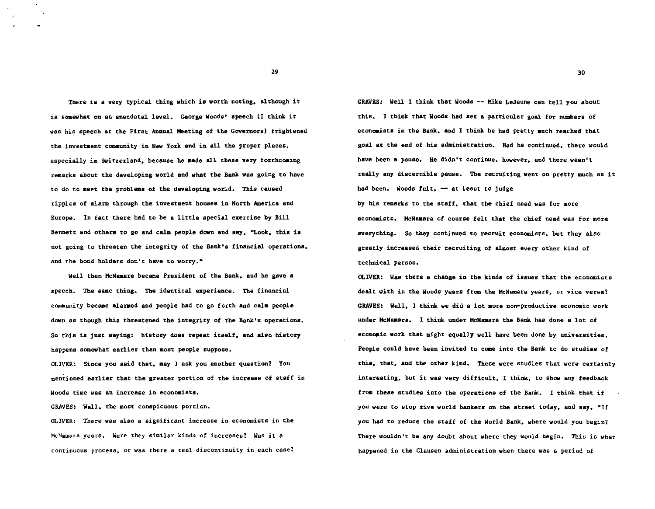There is a very typical thing which is worth noting. although it is somewhat on an anecdotal level. George Woods' speech (I think it was his speech at the First Annual Meeting of the Governors} frightened the investment community in New York and in all the proper places, especially in Switzerland, because he aade all these very forthcoming remarks about the developing world and what the Bank was going to have to do to meet the problems of the developing world. This caused ripples of alarm through the investment houses in North America and Europe. In fact there bad to be a little special exercise by Bill Bennett and others to go and calm people down and  $\text{say}_s$  "Look, this is not going to threaten the integrity of the Bank's financial operations, and the bond holders don't have to worry."

Well then McNamara became President of the Bank. and be gave a speech. The same thing. The identical experience. The financial community becaae alarmed and people bad to go forth and calm people down as though this threatened the integrity of the Bank's operations. So this is just saying: history does repeat itself. and also history happens somewhat earlier than most people suppose.

OLIVER: Since you said that. may I ask you another question? You mentioned earlier that the greater portion of the increase of staff in Woods time was an increase in economists.

GRAVES: Well. the most conspicuous portion.

OLIVER: There was also a significant increase in economists in the McNamara years. Were they similar kinds of increases? Was it a continuous process. or was there a real discontinuity in each case1 GRAVES: Well I think that Woods -- Mike LeJeune can tell you about this. I think that Woods bad set a particular goal for numbers of econaaists in the Bank. and I think be had pretty auch reached that goal at the end of his administration. Had he continued. there would have been a pause. He didn't continue. however. and there wasn't really any discernible pause. The recruiting went on pretty much as it had been. Woods felt.  $-$  at least to judge

by his remarks to the staff. that the chief need was for more econoaists. McNamara of course felt that the chief need was for more everything. So they continued to recruit economists. but they also greatly increased their recruiting of almost every other kind of technical person.

OLIVER: Was there a change in the kinds of issues that the economists dealt with in the Woods years from the McNamara years, or vice versa? GRAVES: Well, I think we did a lot more non-productive economic work under McNamars. I think under McNamara the Bank has done a lot of econoaic work that might equally well have been done by universities. People could have been invited to caae into the Bank to do studies of this. that. and the other kind. These were studies that were certainly interesting. but it was very difficult. I think. to show any feedback from these studies into the operations of the Bank. I think that if you were to stop five world bankers on the street today, and say, "If you had to reduce the staff of the World Bank, where would you begin? There wouldn't be any doubt about whete they would begin. This is what happened in the Clausen administration when there was a period of